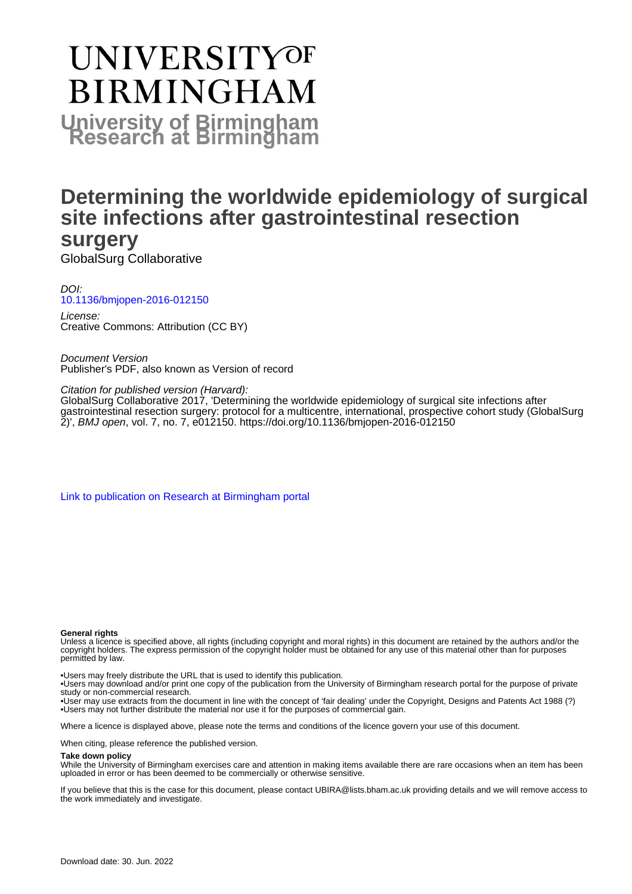# **UNIVERSITYOF BIRMINGHAM University of Birmingham**

### **Determining the worldwide epidemiology of surgical site infections after gastrointestinal resection surgery**

GlobalSurg Collaborative

DOI: [10.1136/bmjopen-2016-012150](https://doi.org/10.1136/bmjopen-2016-012150)

License: Creative Commons: Attribution (CC BY)

Document Version Publisher's PDF, also known as Version of record

Citation for published version (Harvard):

GlobalSurg Collaborative 2017, 'Determining the worldwide epidemiology of surgical site infections after gastrointestinal resection surgery: protocol for a multicentre, international, prospective cohort study (GlobalSurg 2)', BMJ open, vol. 7, no. 7, e012150. <https://doi.org/10.1136/bmjopen-2016-012150>

[Link to publication on Research at Birmingham portal](https://birmingham.elsevierpure.com/en/publications/8fea6d30-3272-4bc5-8b23-ec4bfbccf3cf)

#### **General rights**

Unless a licence is specified above, all rights (including copyright and moral rights) in this document are retained by the authors and/or the copyright holders. The express permission of the copyright holder must be obtained for any use of this material other than for purposes permitted by law.

• Users may freely distribute the URL that is used to identify this publication.

• Users may download and/or print one copy of the publication from the University of Birmingham research portal for the purpose of private study or non-commercial research.

• User may use extracts from the document in line with the concept of 'fair dealing' under the Copyright, Designs and Patents Act 1988 (?) • Users may not further distribute the material nor use it for the purposes of commercial gain.

Where a licence is displayed above, please note the terms and conditions of the licence govern your use of this document.

When citing, please reference the published version.

#### **Take down policy**

While the University of Birmingham exercises care and attention in making items available there are rare occasions when an item has been uploaded in error or has been deemed to be commercially or otherwise sensitive.

If you believe that this is the case for this document, please contact UBIRA@lists.bham.ac.uk providing details and we will remove access to the work immediately and investigate.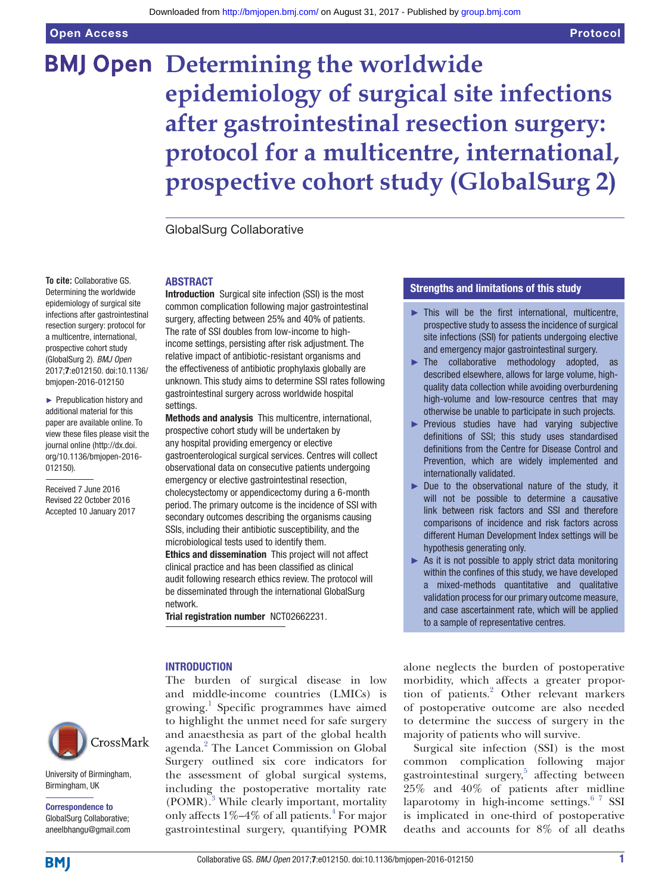Open Access

## **BMJ Open Determining the worldwide epidemiology of surgical site infections after gastrointestinal resection surgery: protocol for a multicentre, international, prospective cohort study (GlobalSurg 2)**

GlobalSurg Collaborative

#### **ABSTRACT**

**To cite:** Collaborative GS. Determining the worldwide epidemiology of surgical site infections after gastrointestinal resection surgery: protocol for a multicentre, international, prospective cohort study (GlobalSurg 2). *BMJ Open* 2017;7:e012150. doi:10.1136/ bmjopen-2016-012150

► Prepublication history and additional material for this paper are available online. To view these files please visit the journal online [\(http://dx.doi.](http://dx.doi.org/10.1136/bmjopen-2016-012150) [org/10.1136/bmjopen-2016-](http://dx.doi.org/10.1136/bmjopen-2016-012150) [012150\)](http://dx.doi.org/10.1136/bmjopen-2016-012150).

Received 7 June 2016 Revised 22 October 2016 Accepted 10 January 2017 Introduction Surgical site infection (SSI) is the most common complication following major gastrointestinal surgery, affecting between 25% and 40% of patients. The rate of SSI doubles from low-income to highincome settings, persisting after risk adjustment. The relative impact of antibiotic-resistant organisms and the effectiveness of antibiotic prophylaxis globally are unknown. This study aims to determine SSI rates following gastrointestinal surgery across worldwide hospital settings.

Methods and analysis This multicentre, international, prospective cohort study will be undertaken by any hospital providing emergency or elective gastroenterological surgical services. Centres will collect observational data on consecutive patients undergoing emergency or elective gastrointestinal resection, cholecystectomy or appendicectomy during a 6-month period. The primary outcome is the incidence of SSI with secondary outcomes describing the organisms causing SSIs, including their antibiotic susceptibility, and the microbiological tests used to identify them.

Ethics and dissemination This project will not affect clinical practice and has been classified as clinical audit following research ethics review. The protocol will be disseminated through the international GlobalSurg network.

Trial registration number NCT02662231.

#### **INTRODUCTION**

The burden of surgical disease in low and middle-income countries (LMICs) is growing.<sup>[1](#page-7-0)</sup> Specific programmes have aimed to highlight the unmet need for safe surgery and anaesthesia as part of the global health agenda.<sup>[2](#page-7-1)</sup> The Lancet Commission on Global Surgery outlined six core indicators for the assessment of global surgical systems, including the postoperative mortality rate (POMR).<sup>[3](#page-7-2)</sup> While clearly important, mortality only affects 1%-[4](#page-7-3)% of all patients.<sup>4</sup> For major gastrointestinal surgery, quantifying POMR

#### Strengths and limitations of this study

- $\blacktriangleright$  This will be the first international, multicentre, prospective study to assess the incidence of surgical site infections (SSI) for patients undergoing elective and emergency major gastrointestinal surgery.
- ► The collaborative methodology adopted, as described elsewhere, allows for large volume, highquality data collection while avoiding overburdening high-volume and low-resource centres that may otherwise be unable to participate in such projects.
- ► Previous studies have had varying subjective definitions of SSI; this study uses standardised definitions from the Centre for Disease Control and Prevention, which are widely implemented and internationally validated.
- ► Due to the observational nature of the study, it will not be possible to determine a causative link between risk factors and SSI and therefore comparisons of incidence and risk factors across different Human Development Index settings will be hypothesis generating only.
- $\triangleright$  As it is not possible to apply strict data monitoring within the confines of this study, we have developed a mixed-methods quantitative and qualitative validation process for our primary outcome measure, and case ascertainment rate, which will be applied to a sample of representative centres.

alone neglects the burden of postoperative morbidity, which affects a greater propor-tion of patients.<sup>[2](#page-7-1)</sup> Other relevant markers of postoperative outcome are also needed to determine the success of surgery in the majority of patients who will survive.

Surgical site infection (SSI) is the most common complication following major gastrointestinal surgery,<sup>[5](#page-7-4)</sup> affecting between 25% and 40% of patients after midline laparotomy in high-income settings. $67$  SSI is implicated in one-third of postoperative deaths and accounts for 8% of all deaths



University of Birmingham, Birmingham, UK

Correspondence to GlobalSurg Collaborative; aneelbhangu@gmail.com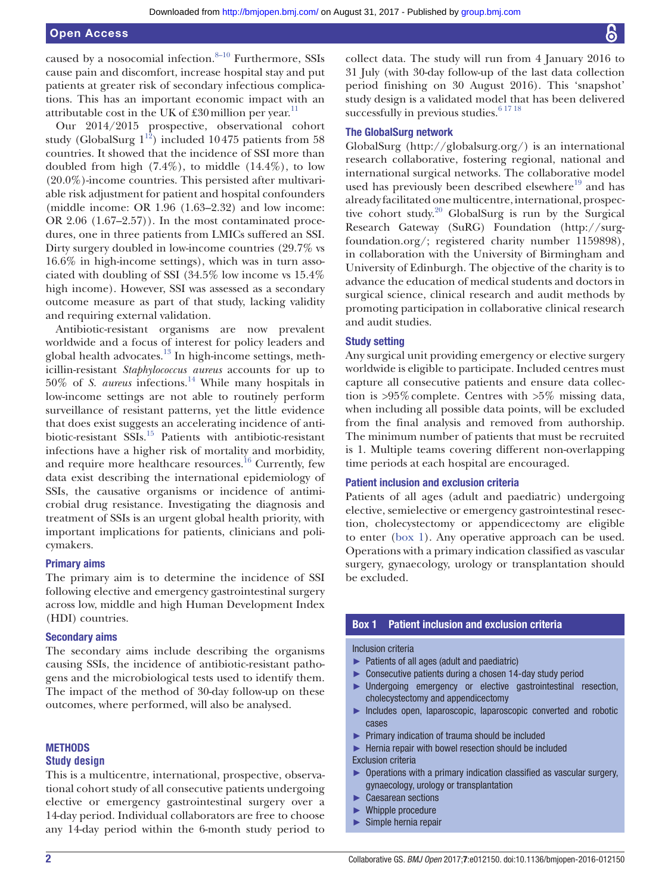caused by a nosocomial infection. $8-10$  Furthermore, SSIs cause pain and discomfort, increase hospital stay and put patients at greater risk of secondary infectious complications. This has an important economic impact with an attributable cost in the UK of £30 million per year.<sup>[11](#page-7-7)</sup>

Our 2014/2015 prospective, observational cohort study (GlobalSurg  $1^{12}$  $1^{12}$  $1^{12}$ ) included 10475 patients from 58 countries. It showed that the incidence of SSI more than doubled from high  $(7.4\%)$ , to middle  $(14.4\%)$ , to low (20.0%)-income countries. This persisted after multivariable risk adjustment for patient and hospital confounders (middle income: OR 1.96 (1.63–2.32) and low income: OR 2.06 (1.67–2.57)). In the most contaminated procedures, one in three patients from LMICs suffered an SSI. Dirty surgery doubled in low-income countries (29.7% vs 16.6% in high-income settings), which was in turn associated with doubling of SSI (34.5% low income vs 15.4% high income). However, SSI was assessed as a secondary outcome measure as part of that study, lacking validity and requiring external validation.

Antibiotic-resistant organisms are now prevalent worldwide and a focus of interest for policy leaders and global health advocates. $^{13}$  In high-income settings, methicillin-resistant *Staphylococcus aureus* accounts for up to 50% of *S. aureus* infections.[14](#page-7-10) While many hospitals in low-income settings are not able to routinely perform surveillance of resistant patterns, yet the little evidence that does exist suggests an accelerating incidence of antibiotic-resistant SSIs[.15](#page-7-11) Patients with antibiotic-resistant infections have a higher risk of mortality and morbidity, and require more healthcare resources.<sup>16</sup> Currently, few data exist describing the international epidemiology of SSIs, the causative organisms or incidence of antimicrobial drug resistance. Investigating the diagnosis and treatment of SSIs is an urgent global health priority, with important implications for patients, clinicians and policymakers.

#### Primary aims

The primary aim is to determine the incidence of SSI following elective and emergency gastrointestinal surgery across low, middle and high Human Development Index (HDI) countries.

#### Secondary aims

The secondary aims include describing the organisms causing SSIs, the incidence of antibiotic-resistant pathogens and the microbiological tests used to identify them. The impact of the method of 30-day follow-up on these outcomes, where performed, will also be analysed.

#### **METHODS Study design**

This is a multicentre, international, prospective, observational cohort study of all consecutive patients undergoing elective or emergency gastrointestinal surgery over a 14-day period. Individual collaborators are free to choose any 14-day period within the 6-month study period to

collect data. The study will run from 4 January 2016 to 31 July (with 30-day follow-up of the last data collection period finishing on 30 August 2016). This 'snapshot' study design is a validated model that has been delivered successfully in previous studies.  $61718$ 

#### The GlobalSurg network

GlobalSurg [\(http://globalsurg.org/](http://globalsurg.org/)) is an international research collaborative, fostering regional, national and international surgical networks. The collaborative model used has previously been described elsewhere<sup>19</sup> and has already facilitated one multicentre, international, prospective cohort study.<sup>20</sup> GlobalSurg is run by the Surgical Research Gateway (SuRG) Foundation [\(http://surg](http://surgfoundation.org/)[foundation.org/;](http://surgfoundation.org/) registered charity number 1159898), in collaboration with the University of Birmingham and University of Edinburgh. The objective of the charity is to advance the education of medical students and doctors in surgical science, clinical research and audit methods by promoting participation in collaborative clinical research and audit studies.

#### Study setting

Any surgical unit providing emergency or elective surgery worldwide is eligible to participate. Included centres must capture all consecutive patients and ensure data collection is >95%complete. Centres with >5% missing data, when including all possible data points, will be excluded from the final analysis and removed from authorship. The minimum number of patients that must be recruited is 1. Multiple teams covering different non-overlapping time periods at each hospital are encouraged.

#### Patient inclusion and exclusion criteria

Patients of all ages (adult and paediatric) undergoing elective, semielective or emergency gastrointestinal resection, cholecystectomy or appendicectomy are eligible to enter [\(box](#page-2-0) 1). Any operative approach can be used. Operations with a primary indication classified as vascular surgery, gynaecology, urology or transplantation should be excluded.

#### Box 1 Patient inclusion and exclusion criteria

#### <span id="page-2-0"></span>Inclusion criteria

- Patients of all ages (adult and paediatric)
- Consecutive patients during a chosen 14-day study period
- ► Undergoing emergency or elective gastrointestinal resection, cholecystectomy and appendicectomy
- ► Includes open, laparoscopic, laparoscopic converted and robotic cases
- ► Primary indication of trauma should be included
- ► Hernia repair with bowel resection should be included
- Exclusion criteria
- Operations with a primary indication classified as vascular surgery, gynaecology, urology or transplantation
- Caesarean sections
- Whipple procedure
- Simple hernia repair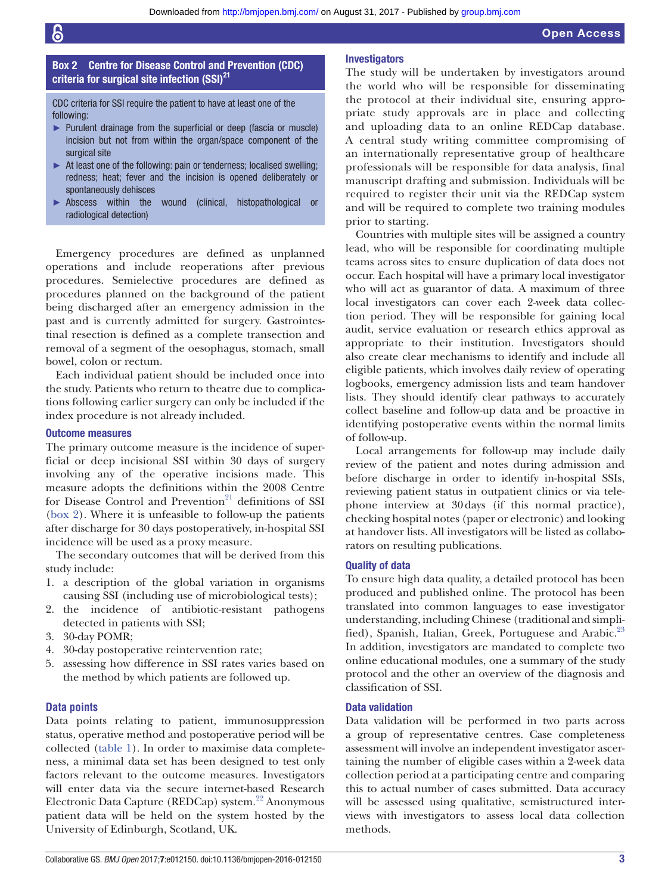#### Box 2 Centre for Disease Control and Prevention (CDC) criteria for surgical site infection  $(SSI)^{21}$

<span id="page-3-0"></span>CDC criteria for SSI require the patient to have at least one of the following:

- ► Purulent drainage from the superficial or deep (fascia or muscle) incision but not from within the organ/space component of the surgical site
- ► At least one of the following: pain or tenderness; localised swelling; redness; heat; fever and the incision is opened deliberately or spontaneously dehisces
- Abscess within the wound (clinical, histopathological or radiological detection)

Emergency procedures are defined as unplanned operations and include reoperations after previous procedures. Semielective procedures are defined as procedures planned on the background of the patient being discharged after an emergency admission in the past and is currently admitted for surgery. Gastrointestinal resection is defined as a complete transection and removal of a segment of the oesophagus, stomach, small bowel, colon or rectum.

Each individual patient should be included once into the study. Patients who return to theatre due to complications following earlier surgery can only be included if the index procedure is not already included.

#### Outcome measures

The primary outcome measure is the incidence of superficial or deep incisional SSI within 30 days of surgery involving any of the operative incisions made. This measure adopts the definitions within the 2008 Centre for Disease Control and Prevention<sup>21</sup> definitions of SSI ([box](#page-3-0) 2). Where it is unfeasible to follow-up the patients after discharge for 30 days postoperatively, in-hospital SSI incidence will be used as a proxy measure.

The secondary outcomes that will be derived from this study include:

- 1. a description of the global variation in organisms causing SSI (including use of microbiological tests);
- 2. the incidence of antibiotic-resistant pathogens detected in patients with SSI;
- 3. 30-day POMR;
- 4. 30-day postoperative reintervention rate;
- 5. assessing how difference in SSI rates varies based on the method by which patients are followed up.

#### **Data points**

Data points relating to patient, immunosuppression status, operative method and postoperative period will be collected [\(table](#page-4-0) 1). In order to maximise data completeness, a minimal data set has been designed to test only factors relevant to the outcome measures. Investigators will enter data via the secure internet-based Research Electronic Data Capture (REDCap) system.<sup>22</sup> Anonymous patient data will be held on the system hosted by the University of Edinburgh, Scotland, UK.

#### Investigators

The study will be undertaken by investigators around the world who will be responsible for disseminating the protocol at their individual site, ensuring appropriate study approvals are in place and collecting and uploading data to an online REDCap database. A central study writing committee compromising of an internationally representative group of healthcare professionals will be responsible for data analysis, final manuscript drafting and submission. Individuals will be required to register their unit via the REDCap system and will be required to complete two training modules prior to starting.

Countries with multiple sites will be assigned a country lead, who will be responsible for coordinating multiple teams across sites to ensure duplication of data does not occur. Each hospital will have a primary local investigator who will act as guarantor of data. A maximum of three local investigators can cover each 2-week data collection period. They will be responsible for gaining local audit, service evaluation or research ethics approval as appropriate to their institution. Investigators should also create clear mechanisms to identify and include all eligible patients, which involves daily review of operating logbooks, emergency admission lists and team handover lists. They should identify clear pathways to accurately collect baseline and follow-up data and be proactive in identifying postoperative events within the normal limits of follow-up.

Local arrangements for follow-up may include daily review of the patient and notes during admission and before discharge in order to identify in-hospital SSIs, reviewing patient status in outpatient clinics or via telephone interview at 30days (if this normal practice), checking hospital notes (paper or electronic) and looking at handover lists. All investigators will be listed as collaborators on resulting publications.

#### Quality of data

To ensure high data quality, a detailed protocol has been produced and published online. The protocol has been translated into common languages to ease investigator understanding, including Chinese (traditional and simpli-fied), Spanish, Italian, Greek, Portuguese and Arabic.<sup>[23](#page-7-17)</sup> In addition, investigators are mandated to complete two online educational modules, one a summary of the study protocol and the other an overview of the diagnosis and classification of SSI.

#### Data validation

Data validation will be performed in two parts across a group of representative centres. Case completeness assessment will involve an independent investigator ascertaining the number of eligible cases within a 2-week data collection period at a participating centre and comparing this to actual number of cases submitted. Data accuracy will be assessed using qualitative, semistructured interviews with investigators to assess local data collection methods.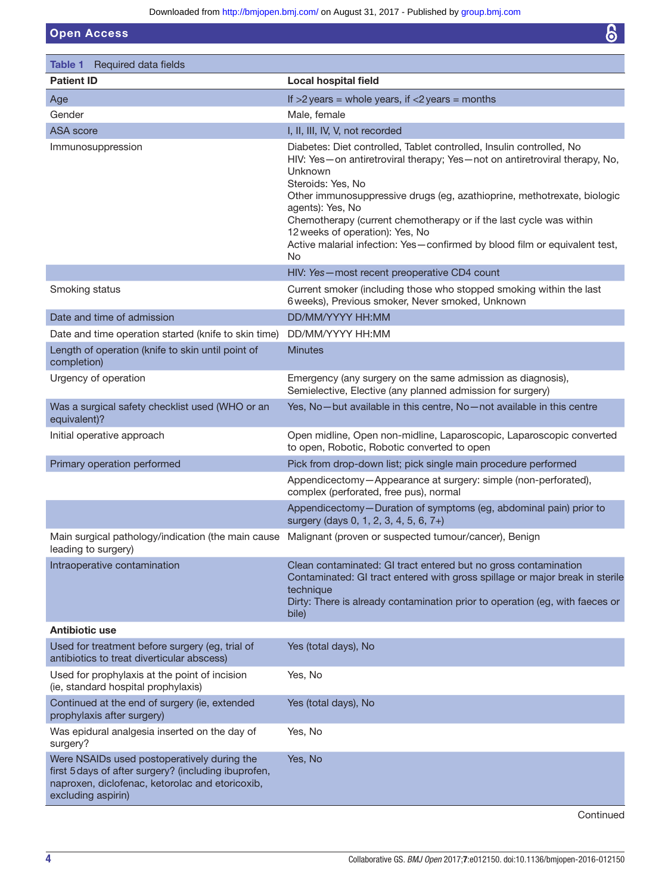Downloaded from<http://bmjopen.bmj.com/>on August 31, 2017 - Published by [group.bmj.com](http://group.bmj.com)

Open Access

<span id="page-4-0"></span>

| Table 1 Required data fields                                                                                                                                                 |                                                                                                                                                                                                                                                                                                                                                                                                                                                                                |
|------------------------------------------------------------------------------------------------------------------------------------------------------------------------------|--------------------------------------------------------------------------------------------------------------------------------------------------------------------------------------------------------------------------------------------------------------------------------------------------------------------------------------------------------------------------------------------------------------------------------------------------------------------------------|
| <b>Patient ID</b>                                                                                                                                                            | <b>Local hospital field</b>                                                                                                                                                                                                                                                                                                                                                                                                                                                    |
| Age                                                                                                                                                                          | If $>2$ years = whole years, if $<2$ years = months                                                                                                                                                                                                                                                                                                                                                                                                                            |
| Gender                                                                                                                                                                       | Male, female                                                                                                                                                                                                                                                                                                                                                                                                                                                                   |
| <b>ASA</b> score                                                                                                                                                             | I, II, III, IV, V, not recorded                                                                                                                                                                                                                                                                                                                                                                                                                                                |
| Immunosuppression                                                                                                                                                            | Diabetes: Diet controlled, Tablet controlled, Insulin controlled, No<br>HIV: Yes-on antiretroviral therapy; Yes-not on antiretroviral therapy, No,<br>Unknown<br>Steroids: Yes, No<br>Other immunosuppressive drugs (eg, azathioprine, methotrexate, biologic<br>agents): Yes, No<br>Chemotherapy (current chemotherapy or if the last cycle was within<br>12 weeks of operation): Yes, No<br>Active malarial infection: Yes-confirmed by blood film or equivalent test,<br>No |
|                                                                                                                                                                              | HIV: Yes-most recent preoperative CD4 count                                                                                                                                                                                                                                                                                                                                                                                                                                    |
| Smoking status                                                                                                                                                               | Current smoker (including those who stopped smoking within the last<br>6 weeks), Previous smoker, Never smoked, Unknown                                                                                                                                                                                                                                                                                                                                                        |
| Date and time of admission                                                                                                                                                   | DD/MM/YYYY HH:MM                                                                                                                                                                                                                                                                                                                                                                                                                                                               |
| Date and time operation started (knife to skin time)                                                                                                                         | DD/MM/YYYY HH:MM                                                                                                                                                                                                                                                                                                                                                                                                                                                               |
| Length of operation (knife to skin until point of<br>completion)                                                                                                             | <b>Minutes</b>                                                                                                                                                                                                                                                                                                                                                                                                                                                                 |
| Urgency of operation                                                                                                                                                         | Emergency (any surgery on the same admission as diagnosis),<br>Semielective, Elective (any planned admission for surgery)                                                                                                                                                                                                                                                                                                                                                      |
| Was a surgical safety checklist used (WHO or an<br>equivalent)?                                                                                                              | Yes, No-but available in this centre, No-not available in this centre                                                                                                                                                                                                                                                                                                                                                                                                          |
| Initial operative approach                                                                                                                                                   | Open midline, Open non-midline, Laparoscopic, Laparoscopic converted<br>to open, Robotic, Robotic converted to open                                                                                                                                                                                                                                                                                                                                                            |
| Primary operation performed                                                                                                                                                  | Pick from drop-down list; pick single main procedure performed                                                                                                                                                                                                                                                                                                                                                                                                                 |
|                                                                                                                                                                              | Appendicectomy-Appearance at surgery: simple (non-perforated),<br>complex (perforated, free pus), normal                                                                                                                                                                                                                                                                                                                                                                       |
|                                                                                                                                                                              | Appendicectomy-Duration of symptoms (eg, abdominal pain) prior to<br>surgery (days 0, 1, 2, 3, 4, 5, 6, 7+)                                                                                                                                                                                                                                                                                                                                                                    |
| Main surgical pathology/indication (the main cause<br>leading to surgery)                                                                                                    | Malignant (proven or suspected tumour/cancer), Benign                                                                                                                                                                                                                                                                                                                                                                                                                          |
| Intraoperative contamination                                                                                                                                                 | Clean contaminated: GI tract entered but no gross contamination<br>Contaminated: GI tract entered with gross spillage or major break in sterile<br>technique<br>Dirty: There is already contamination prior to operation (eg, with faeces or<br>bile)                                                                                                                                                                                                                          |
| Antibiotic use                                                                                                                                                               |                                                                                                                                                                                                                                                                                                                                                                                                                                                                                |
| Used for treatment before surgery (eg, trial of<br>antibiotics to treat diverticular abscess)                                                                                | Yes (total days), No                                                                                                                                                                                                                                                                                                                                                                                                                                                           |
| Used for prophylaxis at the point of incision<br>(ie, standard hospital prophylaxis)                                                                                         | Yes, No                                                                                                                                                                                                                                                                                                                                                                                                                                                                        |
| Continued at the end of surgery (ie, extended<br>prophylaxis after surgery)                                                                                                  | Yes (total days), No                                                                                                                                                                                                                                                                                                                                                                                                                                                           |
| Was epidural analgesia inserted on the day of<br>surgery?                                                                                                                    | Yes, No                                                                                                                                                                                                                                                                                                                                                                                                                                                                        |
| Were NSAIDs used postoperatively during the<br>first 5 days of after surgery? (including ibuprofen,<br>naproxen, diclofenac, ketorolac and etoricoxib,<br>excluding aspirin) | Yes, No                                                                                                                                                                                                                                                                                                                                                                                                                                                                        |

Continued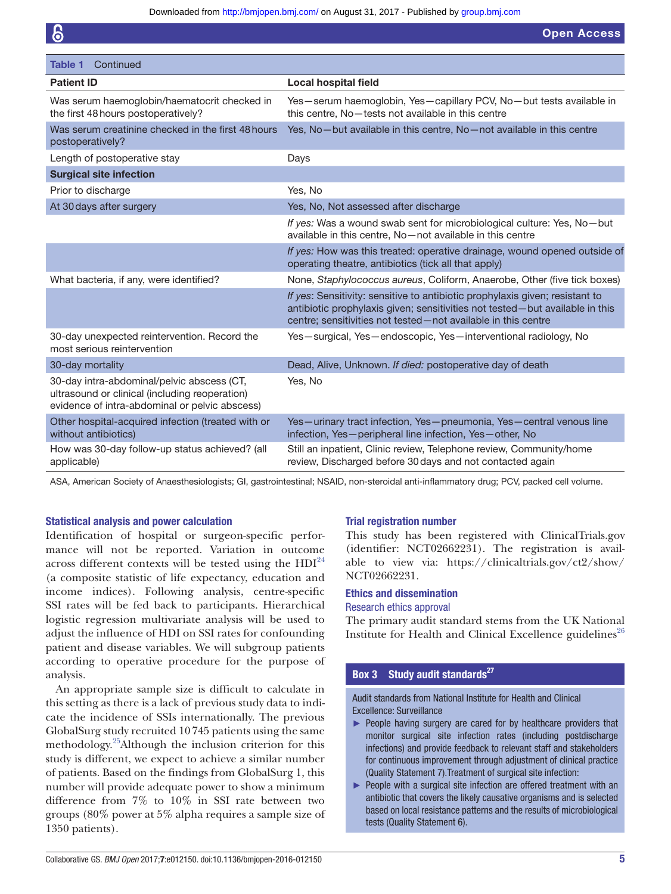| Table 1<br>Continued                                                                                                                           |                                                                                                                                                                                                                               |
|------------------------------------------------------------------------------------------------------------------------------------------------|-------------------------------------------------------------------------------------------------------------------------------------------------------------------------------------------------------------------------------|
| <b>Patient ID</b>                                                                                                                              | <b>Local hospital field</b>                                                                                                                                                                                                   |
| Was serum haemoglobin/haematocrit checked in<br>the first 48 hours postoperatively?                                                            | Yes-serum haemoglobin, Yes-capillary PCV, No-but tests available in<br>this centre. No-tests not available in this centre                                                                                                     |
| Was serum creatinine checked in the first 48 hours<br>postoperatively?                                                                         | Yes, No-but available in this centre, No-not available in this centre                                                                                                                                                         |
| Length of postoperative stay                                                                                                                   | Days                                                                                                                                                                                                                          |
| <b>Surgical site infection</b>                                                                                                                 |                                                                                                                                                                                                                               |
| Prior to discharge                                                                                                                             | Yes, No                                                                                                                                                                                                                       |
| At 30 days after surgery                                                                                                                       | Yes, No, Not assessed after discharge                                                                                                                                                                                         |
|                                                                                                                                                | If yes: Was a wound swab sent for microbiological culture: Yes, No-but<br>available in this centre, No-not available in this centre                                                                                           |
|                                                                                                                                                | If yes: How was this treated: operative drainage, wound opened outside of<br>operating theatre, antibiotics (tick all that apply)                                                                                             |
| What bacteria, if any, were identified?                                                                                                        | None, Staphylococcus aureus, Coliform, Anaerobe, Other (five tick boxes)                                                                                                                                                      |
|                                                                                                                                                | If yes: Sensitivity: sensitive to antibiotic prophylaxis given; resistant to<br>antibiotic prophylaxis given; sensitivities not tested-but available in this<br>centre; sensitivities not tested-not available in this centre |
| 30-day unexpected reintervention. Record the<br>most serious reintervention                                                                    | Yes-surgical, Yes-endoscopic, Yes-interventional radiology, No                                                                                                                                                                |
| 30-day mortality                                                                                                                               | Dead, Alive, Unknown. If died: postoperative day of death                                                                                                                                                                     |
| 30-day intra-abdominal/pelvic abscess (CT,<br>ultrasound or clinical (including reoperation)<br>evidence of intra-abdominal or pelvic abscess) | Yes, No                                                                                                                                                                                                                       |
| Other hospital-acquired infection (treated with or<br>without antibiotics)                                                                     | Yes-urinary tract infection, Yes-pneumonia, Yes-central venous line<br>infection, Yes-peripheral line infection, Yes-other, No                                                                                                |
| How was 30-day follow-up status achieved? (all<br>applicable)                                                                                  | Still an inpatient, Clinic review, Telephone review, Community/home<br>review, Discharged before 30 days and not contacted again                                                                                              |

ASA, American Society of Anaesthesiologists; GI, gastrointestinal; NSAID, non-steroidal anti-inflammatory drug; PCV, packed cell volume.

#### Statistical analysis and power calculation

Identification of hospital or surgeon-specific performance will not be reported. Variation in outcome across different contexts will be tested using the  $HDI<sup>24</sup>$  $HDI<sup>24</sup>$  $HDI<sup>24</sup>$ (a composite statistic of life expectancy, education and income indices). Following analysis, centre-specific SSI rates will be fed back to participants. Hierarchical logistic regression multivariate analysis will be used to adjust the influence of HDI on SSI rates for confounding patient and disease variables. We will subgroup patients according to operative procedure for the purpose of analysis.

An appropriate sample size is difficult to calculate in this setting as there is a lack of previous study data to indicate the incidence of SSIs internationally. The previous GlobalSurg study recruited 10745 patients using the same methodology. [25A](#page-7-20)lthough the inclusion criterion for this study is different, we expect to achieve a similar number of patients. Based on the findings from GlobalSurg 1, this number will provide adequate power to show a minimum difference from 7% to 10% in SSI rate between two groups (80% power at 5% alpha requires a sample size of 1350 patients).

#### Trial registration number

This study has been registered with ClinicalTrials.gov (identifier: NCT02662231). The registration is available to view via: [https://clinicaltrials.gov/ct2/show/](https://clinicaltrials.gov/ct2/show/NCT02662231) [NCT02662231.](https://clinicaltrials.gov/ct2/show/NCT02662231)

#### Ethics and dissemination

#### Research ethics approval

The primary audit standard stems from the UK National Institute for Health and Clinical Excellence guidelines<sup>[26](#page-7-21)</sup>

#### Box 3 Study audit standards $^{27}$

<span id="page-5-0"></span>Audit standards from National Institute for Health and Clinical Excellence: Surveillance

- ► People having surgery are cared for by healthcare providers that monitor surgical site infection rates (including postdischarge infections) and provide feedback to relevant staff and stakeholders for continuous improvement through adjustment of clinical practice (Quality Statement 7).Treatment of surgical site infection:
- ► People with a surgical site infection are offered treatment with an antibiotic that covers the likely causative organisms and is selected based on local resistance patterns and the results of microbiological tests (Quality Statement 6).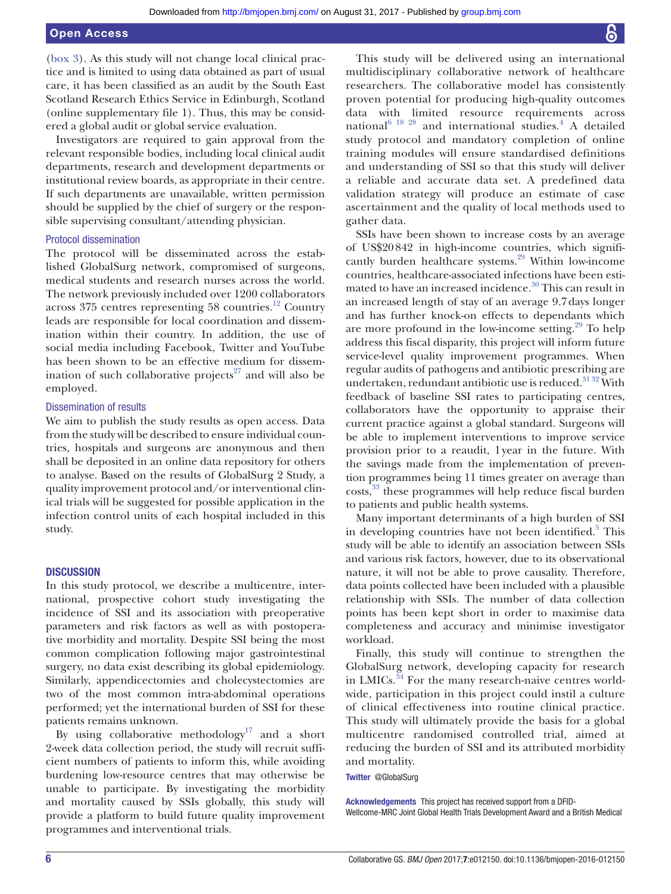[\(box](#page-5-0) 3). As this study will not change local clinical practice and is limited to using data obtained as part of usual care, it has been classified as an audit by the South East Scotland Research Ethics Service in Edinburgh, Scotland (online [supplementary file 1\)](https://dx.doi.org/10.1136/bmjopen-2016-012150). Thus, this may be considered a global audit or global service evaluation.

Investigators are required to gain approval from the relevant responsible bodies, including local clinical audit departments, research and development departments or institutional review boards, as appropriate in their centre. If such departments are unavailable, written permission should be supplied by the chief of surgery or the responsible supervising consultant/attending physician.

#### Protocol dissemination

The protocol will be disseminated across the established GlobalSurg network, compromised of surgeons, medical students and research nurses across the world. The network previously included over 1200 collaborators across 375 centres representing 58 countries.<sup>[12](#page-7-8)</sup> Country leads are responsible for local coordination and dissemination within their country. In addition, the use of social media including Facebook, Twitter and YouTube has been shown to be an effective medium for dissem-ination of such collaborative projects<sup>[27](#page-7-18)</sup> and will also be employed.

#### Dissemination of results

We aim to publish the study results as open access. Data from the study will be described to ensure individual countries, hospitals and surgeons are anonymous and then shall be deposited in an online data repository for others to analyse. Based on the results of GlobalSurg 2 Study, a quality improvement protocol and/or interventional clinical trials will be suggested for possible application in the infection control units of each hospital included in this study.

#### **DISCUSSION**

In this study protocol, we describe a multicentre, international, prospective cohort study investigating the incidence of SSI and its association with preoperative parameters and risk factors as well as with postoperative morbidity and mortality. Despite SSI being the most common complication following major gastrointestinal surgery, no data exist describing its global epidemiology. Similarly, appendicectomies and cholecystectomies are two of the most common intra-abdominal operations performed; yet the international burden of SSI for these patients remains unknown.

By using collaborative methodology<sup>17</sup> and a short 2-week data collection period, the study will recruit sufficient numbers of patients to inform this, while avoiding burdening low-resource centres that may otherwise be unable to participate. By investigating the morbidity and mortality caused by SSIs globally, this study will provide a platform to build future quality improvement programmes and interventional trials.

This study will be delivered using an international multidisciplinary collaborative network of healthcare researchers. The collaborative model has consistently proven potential for producing high-quality outcomes data with limited resource requirements across national $^{6}$ <sup>18</sup>  $^{28}$  and international studies.<sup>[4](#page-7-3)</sup> A detailed study protocol and mandatory completion of online training modules will ensure standardised definitions and understanding of SSI so that this study will deliver a reliable and accurate data set. A predefined data validation strategy will produce an estimate of case ascertainment and the quality of local methods used to gather data.

SSIs have been shown to increase costs by an average of US\$20842 in high-income countries, which significantly burden healthcare systems.<sup>29</sup> Within low-income countries, healthcare-associated infections have been estimated to have an increased incidence.<sup>30</sup> This can result in an increased length of stay of an average 9.7days longer and has further knock-on effects to dependants which are more profound in the low-income setting. $29$  To help address this fiscal disparity, this project will inform future service-level quality improvement programmes. When regular audits of pathogens and antibiotic prescribing are undertaken, redundant antibiotic use is reduced. $3132$  With feedback of baseline SSI rates to participating centres, collaborators have the opportunity to appraise their current practice against a global standard. Surgeons will be able to implement interventions to improve service provision prior to a reaudit, 1year in the future. With the savings made from the implementation of prevention programmes being 11 times greater on average than costs,<sup>33</sup> these programmes will help reduce fiscal burden to patients and public health systems.

Many important determinants of a high burden of SSI in developing countries have not been identified. $5$  This study will be able to identify an association between SSIs and various risk factors, however, due to its observational nature, it will not be able to prove causality. Therefore, data points collected have been included with a plausible relationship with SSIs. The number of data collection points has been kept short in order to maximise data completeness and accuracy and minimise investigator workload.

Finally, this study will continue to strengthen the GlobalSurg network, developing capacity for research in LMICs. $34$  For the many research-naive centres worldwide, participation in this project could instil a culture of clinical effectiveness into routine clinical practice. This study will ultimately provide the basis for a global multicentre randomised controlled trial, aimed at reducing the burden of SSI and its attributed morbidity and mortality.

#### Twitter @GlobalSurg

Acknowledgements This project has received support from a DFID-Wellcome-MRC Joint Global Health Trials Development Award and a British Medical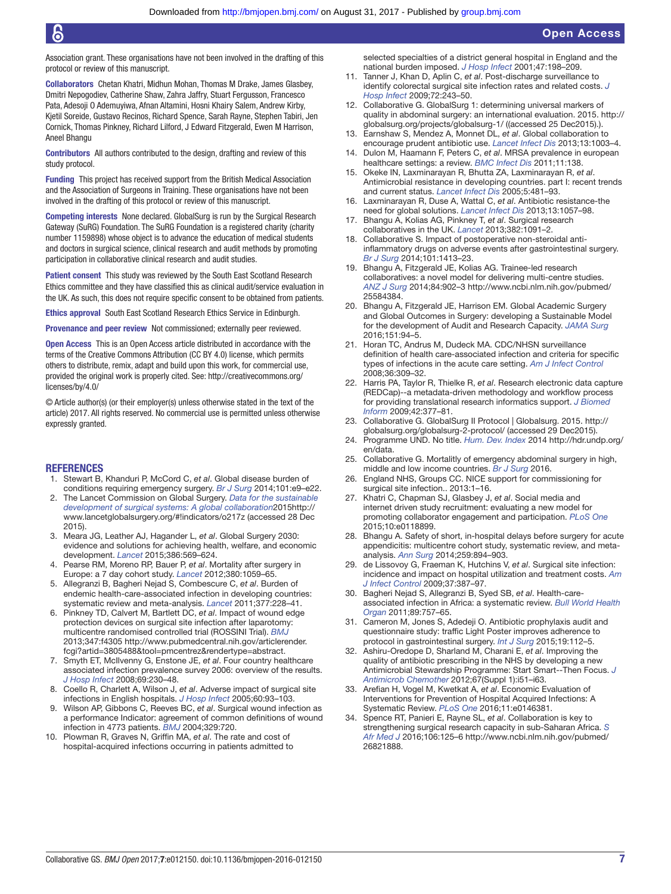Association grant. These organisations have not been involved in the drafting of this protocol or review of this manuscript.

Collaborators Chetan Khatri, Midhun Mohan, Thomas M Drake, James Glasbey, Dmitri Nepogodiev, Catherine Shaw, Zahra Jaffry, Stuart Fergusson, Francesco Pata, Adesoji O Ademuyiwa, Afnan Altamini, Hosni Khairy Salem, Andrew Kirby, Kjetil Soreide, Gustavo Recinos, Richard Spence, Sarah Rayne, Stephen Tabiri, Jen Cornick, Thomas Pinkney, Richard Lilford, J Edward Fitzgerald, Ewen M Harrison, Aneel Bhangu

Contributors All authors contributed to the design, drafting and review of this study protocol.

Funding This project has received support from the British Medical Association and the Association of Surgeons in Training. These organisations have not been involved in the drafting of this protocol or review of this manuscript.

Competing interests None declared. GlobalSurg is run by the Surgical Research Gateway (SuRG) Foundation. The SuRG Foundation is a registered charity (charity number 1159898) whose object is to advance the education of medical students and doctors in surgical science, clinical research and audit methods by promoting participation in collaborative clinical research and audit studies.

Patient consent This study was reviewed by the South East Scotland Research Ethics committee and they have classified this as clinical audit/service evaluation in the UK. As such, this does not require specific consent to be obtained from patients.

Ethics approval South East Scotland Research Ethics Service in Edinburgh.

Provenance and peer review Not commissioned; externally peer reviewed.

Open Access This is an Open Access article distributed in accordance with the terms of the Creative Commons Attribution (CC BY 4.0) license, which permits others to distribute, remix, adapt and build upon this work, for commercial use, provided the original work is properly cited. See: [http://creativecommons.org/](http://creativecommons.org/licenses/by/4.0/) [licenses/by/4.0/](http://creativecommons.org/licenses/by/4.0/)

© Article author(s) (or their employer(s) unless otherwise stated in the text of the article) 2017. All rights reserved. No commercial use is permitted unless otherwise expressly granted.

#### **REFERENCES**

- <span id="page-7-0"></span>1. Stewart B, Khanduri P, McCord C, *et al*. Global disease burden of conditions requiring emergency surgery. *[Br J Surg](http://dx.doi.org/10.1002/bjs.9329)* 2014;101:e9–e22.
- <span id="page-7-1"></span>2. The Lancet Commission on Global Surgery. *Data for the sustainable development of surgical systems: A global collaboration*201[5http://](http://www.lancetglobalsurgery.org/#!indicators/o217z) [www.lancetglobalsurgery.org/#!indicators/o217z](http://www.lancetglobalsurgery.org/#!indicators/o217z) (accessed 28 Dec 2015).
- <span id="page-7-2"></span>3. Meara JG, Leather AJ, Hagander L, *et al*. Global Surgery 2030: evidence and solutions for achieving health, welfare, and economic development. *[Lancet](http://dx.doi.org/10.1016/S0140-6736(15)60160-X)* 2015;386:569–624.
- <span id="page-7-3"></span>4. Pearse RM, Moreno RP, Bauer P, *et al*. Mortality after surgery in Europe: a 7 day cohort study. *[Lancet](http://dx.doi.org/10.1016/S0140-6736(12)61148-9)* 2012;380:1059–65.
- <span id="page-7-4"></span>5. Allegranzi B, Bagheri Nejad S, Combescure C, *et al*. Burden of endemic health-care-associated infection in developing countries: systematic review and meta-analysis. *[Lancet](http://dx.doi.org/10.1016/S0140-6736(10)61458-4)* 2011;377:228–41.
- <span id="page-7-5"></span>6. Pinkney TD, Calvert M, Bartlett DC, *et al*. Impact of wound edge protection devices on surgical site infection after laparotomy: multicentre randomised controlled trial (ROSSINI Trial). *[BMJ](http://dx.doi.org/10.1136/bmj.f4305)* 2013;347:f4305 [http://www.pubmedcentral.nih.gov/articlerender.](http://www.pubmedcentral.nih.gov/articlerender.fcgi?artid=3805488&tool=pmcentrez&rendertype=abstract) [fcgi?artid=3805488&tool=pmcentrez&rendertype=abstract.](http://www.pubmedcentral.nih.gov/articlerender.fcgi?artid=3805488&tool=pmcentrez&rendertype=abstract)
- 7. Smyth ET, McIlvenny G, Enstone JE, *et al*. Four country healthcare associated infection prevalence survey 2006: overview of the results. *[J Hosp Infect](http://dx.doi.org/10.1016/j.jhin.2008.04.020)* 2008;69:230–48.
- <span id="page-7-6"></span>8. Coello R, Charlett A, Wilson J, *et al*. Adverse impact of surgical site infections in English hospitals. *[J Hosp Infect](http://dx.doi.org/10.1016/j.jhin.2004.10.019)* 2005;60:93–103.
- 9. Wilson AP, Gibbons C, Reeves BC, *et al*. Surgical wound infection as a performance Indicator: agreement of common definitions of wound infection in 4773 patients. *[BMJ](http://dx.doi.org/10.1136/bmj.38232.646227.DE)* 2004;329:720.
- 10. Plowman R, Graves N, Griffin MA, *et al*. The rate and cost of hospital-acquired infections occurring in patients admitted to

selected specialties of a district general hospital in England and the national burden imposed. *[J Hosp Infect](http://dx.doi.org/10.1053/jhin.2000.0881)* 2001;47:198–209.

- <span id="page-7-7"></span>11. Tanner J, Khan D, Aplin C, *et al*. Post-discharge surveillance to identify colorectal surgical site infection rates and related costs. *[J](http://dx.doi.org/10.1016/j.jhin.2009.03.021)  [Hosp Infect](http://dx.doi.org/10.1016/j.jhin.2009.03.021)* 2009;72:243–50.
- <span id="page-7-8"></span>12. Collaborative G. GlobalSurg 1: determining universal markers of quality in abdominal surgery: an international evaluation. 2015. [http://](http://globalsurg.org/projects/globalsurg-1/) [globalsurg.org/projects/globalsurg-1/](http://globalsurg.org/projects/globalsurg-1/) ((accessed 25 Dec2015).).
- <span id="page-7-9"></span>13. Earnshaw S, Mendez A, Monnet DL, *et al*. Global collaboration to encourage prudent antibiotic use. *[Lancet Infect Dis](http://dx.doi.org/10.1016/S1473-3099(13)70315-3)* 2013;13:1003–4.
- <span id="page-7-10"></span>14. Dulon M, Haamann F, Peters C, *et al*. MRSA prevalence in european healthcare settings: a review. *[BMC Infect Dis](http://dx.doi.org/10.1186/1471-2334-11-138)* 2011;11:138.
- <span id="page-7-11"></span>15. Okeke IN, Laxminarayan R, Bhutta ZA, Laxminarayan R, *et al*. Antimicrobial resistance in developing countries. part I: recent trends and current status. *[Lancet Infect Dis](http://dx.doi.org/10.1016/S1473-3099(05)70189-4)* 2005;5:481–93.
- <span id="page-7-12"></span>16. Laxminarayan R, Duse A, Wattal C, *et al*. Antibiotic resistance-the need for global solutions. *[Lancet Infect Dis](http://dx.doi.org/10.1016/S1473-3099(13)70318-9)* 2013;13:1057–98.
- <span id="page-7-22"></span>17. Bhangu A, Kolias AG, Pinkney T, *et al*. Surgical research collaboratives in the UK. *[Lancet](http://dx.doi.org/10.1016/S0140-6736(13)62013-9)* 2013;382:1091–2.
- 18. Collaborative S. Impact of postoperative non-steroidal antiinflammatory drugs on adverse events after gastrointestinal surgery. *[Br J Surg](http://dx.doi.org/10.1002/bjs.9614)* 2014;101:1413–23.
- <span id="page-7-13"></span>19. Bhangu A, Fitzgerald JE, Kolias AG. Trainee-led research collaboratives: a novel model for delivering multi-centre studies. *[ANZ J Surg](http://dx.doi.org/10.1111/ans.12797)* 2014;84:902–3 [http://www.ncbi.nlm.nih.gov/pubmed/](http://www.ncbi.nlm.nih.gov/pubmed/25584384) [25584384](http://www.ncbi.nlm.nih.gov/pubmed/25584384).
- <span id="page-7-14"></span>20. Bhangu A, Fitzgerald JE, Harrison EM. Global Academic Surgery and Global Outcomes in Surgery: developing a Sustainable Model for the development of Audit and Research Capacity. *[JAMA Surg](http://dx.doi.org/10.1001/jamasurg.2015.3082)* 2016;151:94–5.
- <span id="page-7-15"></span>21. Horan TC, Andrus M, Dudeck MA. CDC/NHSN surveillance definition of health care-associated infection and criteria for specific types of infections in the acute care setting. *[Am J Infect Control](http://dx.doi.org/10.1016/j.ajic.2008.03.002)* 2008;36:309–32.
- <span id="page-7-16"></span>22. Harris PA, Taylor R, Thielke R, *et al*. Research electronic data capture (REDCap)--a metadata-driven methodology and workflow process for providing translational research informatics support. *[J Biomed](http://dx.doi.org/10.1016/j.jbi.2008.08.010)  [Inform](http://dx.doi.org/10.1016/j.jbi.2008.08.010)* 2009;42:377–81.
- <span id="page-7-17"></span>23. Collaborative G. GlobalSurg II Protocol | Globalsurg. 2015. [http://](http://globalsurg.org/globalsurg-2-protocol/) [globalsurg.org/globalsurg-2-protocol/](http://globalsurg.org/globalsurg-2-protocol/) (accessed 29 Dec2015).
- <span id="page-7-19"></span>24. Programme UND. No title. *Hum. Dev. Index* 2014 [http://hdr.undp.org/](http://hdr.undp.org/en/data) [en/data](http://hdr.undp.org/en/data).
- <span id="page-7-20"></span>25. Collaborative G. Mortalitly of emergency abdominal surgery in high, middle and low income countries. *Br J Surg* 2016.
- <span id="page-7-21"></span>26. England NHS, Groups CC. NICE support for commissioning for surgical site infection.. 2013:1–16.
- <span id="page-7-18"></span>27. Khatri C, Chapman SJ, Glasbey J, *et al*. Social media and internet driven study recruitment: evaluating a new model for promoting collaborator engagement and participation. *[PLoS One](http://dx.doi.org/10.1371/journal.pone.0118899)* 2015;10:e0118899.
- 28. Bhangu A. Safety of short, in-hospital delays before surgery for acute appendicitis: multicentre cohort study, systematic review, and metaanalysis. *[Ann Surg](http://dx.doi.org/10.1097/SLA.0000000000000492)* 2014;259:894–903.
- <span id="page-7-23"></span>29. de Lissovoy G, Fraeman K, Hutchins V, *et al*. Surgical site infection: incidence and impact on hospital utilization and treatment costs. *[Am](http://dx.doi.org/10.1016/j.ajic.2008.12.010)  [J Infect Control](http://dx.doi.org/10.1016/j.ajic.2008.12.010)* 2009;37:387–97.
- <span id="page-7-24"></span>30. Bagheri Nejad S, Allegranzi B, Syed SB, *et al*. Health-careassociated infection in Africa: a systematic review. *[Bull World Health](http://dx.doi.org/10.2471/BLT.11.088179)  [Organ](http://dx.doi.org/10.2471/BLT.11.088179)* 2011;89:757–65.
- <span id="page-7-25"></span>31. Cameron M, Jones S, Adedeji O. Antibiotic prophylaxis audit and questionnaire study: traffic Light Poster improves adherence to protocol in gastrointestinal surgery. *[Int J Surg](http://dx.doi.org/10.1016/j.ijsu.2015.05.008)* 2015;19:112–5.
- 32. Ashiru-Oredope D, Sharland M, Charani E, *et al*. Improving the quality of antibiotic prescribing in the NHS by developing a new Antimicrobial Stewardship Programme: Start Smart--Then Focus. *[J](http://dx.doi.org/10.1093/jac/dks202)  [Antimicrob Chemother](http://dx.doi.org/10.1093/jac/dks202)* 2012;67(Suppl 1):i51–i63.
- <span id="page-7-26"></span>33. Arefian H, Vogel M, Kwetkat A, *et al*. Economic Evaluation of Interventions for Prevention of Hospital Acquired Infections: A Systematic Review. *[PLoS One](http://dx.doi.org/10.1371/journal.pone.0146381)* 2016;11:e0146381.
- <span id="page-7-27"></span>34. Spence RT, Panieri E, Rayne SL, *et al*. Collaboration is key to strengthening surgical research capacity in sub-Saharan Africa. *[S](http://dx.doi.org/10.7196/SAMJ.2016.v106i2.10182)  [Afr Med J](http://dx.doi.org/10.7196/SAMJ.2016.v106i2.10182)* 2016;106:125–6 [http://www.ncbi.nlm.nih.gov/pubmed/](http://www.ncbi.nlm.nih.gov/pubmed/26821888) [26821888.](http://www.ncbi.nlm.nih.gov/pubmed/26821888)